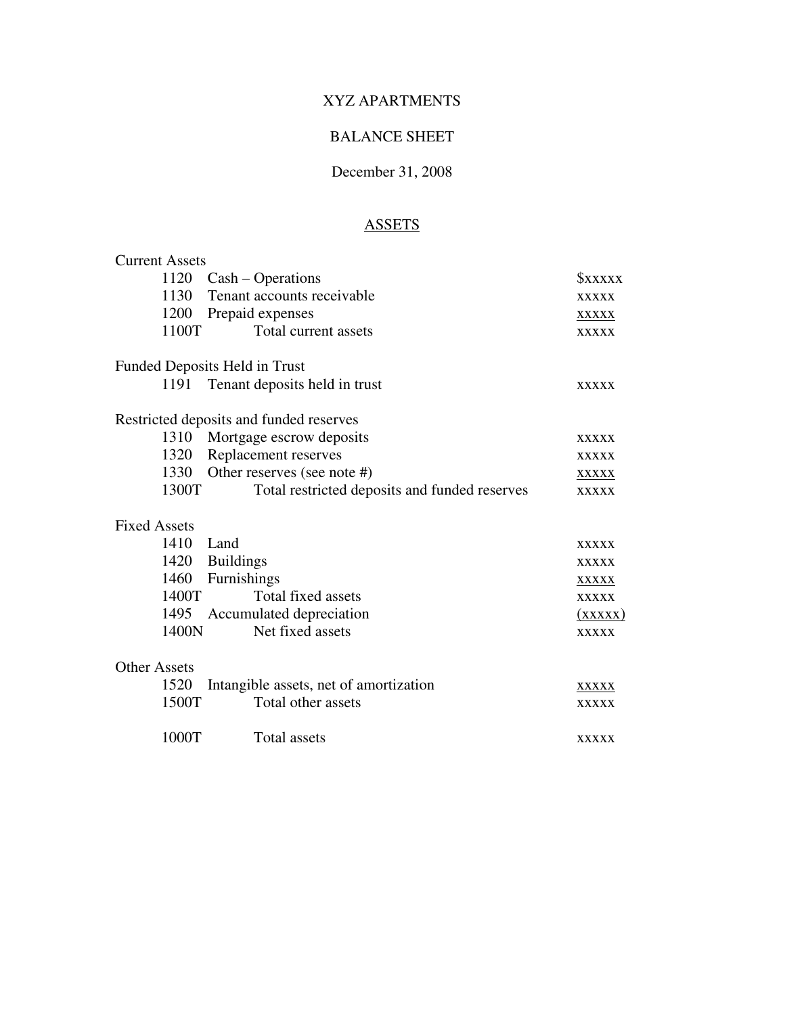#### BALANCE SHEET

#### December 31, 2008

# **ASSETS**

| <b>Current Assets</b> |                                               |               |
|-----------------------|-----------------------------------------------|---------------|
|                       | 1120 Cash – Operations                        | <b>SXXXXX</b> |
| 1130                  | Tenant accounts receivable                    | <b>XXXXX</b>  |
|                       | 1200 Prepaid expenses                         | <b>XXXXX</b>  |
| 1100T                 | Total current assets                          | <b>XXXXX</b>  |
|                       | Funded Deposits Held in Trust                 |               |
| 1191                  | Tenant deposits held in trust                 | <b>XXXXX</b>  |
|                       | Restricted deposits and funded reserves       |               |
|                       | 1310 Mortgage escrow deposits                 | <b>XXXXX</b>  |
| 1320                  | Replacement reserves                          | <b>XXXXX</b>  |
| 1330                  | Other reserves (see note #)                   | <b>XXXXX</b>  |
| 1300T                 | Total restricted deposits and funded reserves | <b>XXXXX</b>  |
| <b>Fixed Assets</b>   |                                               |               |
| 1410                  | Land                                          | <b>XXXXX</b>  |
|                       | 1420 Buildings                                | <b>XXXXX</b>  |
| 1460                  | Furnishings                                   | <b>XXXXX</b>  |
| 1400T                 | Total fixed assets                            | <b>XXXXX</b>  |
|                       | 1495 Accumulated depreciation                 | (xxxxx)       |
| 1400N                 | Net fixed assets                              | <b>XXXXX</b>  |
| <b>Other Assets</b>   |                                               |               |
| 1520                  | Intangible assets, net of amortization        | <b>XXXXX</b>  |
| 1500T                 | Total other assets                            | <b>XXXXX</b>  |
| 1000T                 | Total assets                                  | <b>XXXXX</b>  |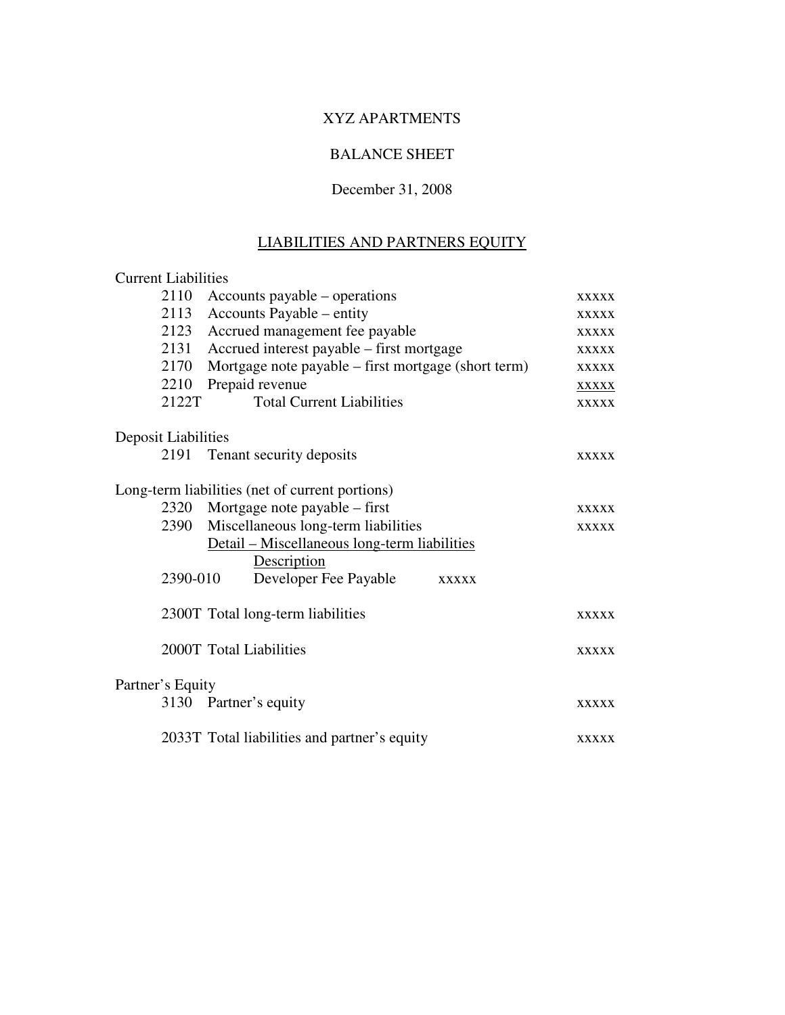# BALANCE SHEET

#### December 31, 2008

# LIABILITIES AND PARTNERS EQUITY

| <b>Current Liabilities</b> |                                                     |              |  |
|----------------------------|-----------------------------------------------------|--------------|--|
| 2110                       | Accounts payable – operations                       | <b>XXXXX</b> |  |
| 2113                       | Accounts Payable – entity                           |              |  |
|                            | Accrued management fee payable<br>2123              |              |  |
| 2131                       | Accrued interest payable - first mortgage           | <b>XXXXX</b> |  |
| 2170                       | Mortgage note payable – first mortgage (short term) | <b>XXXXX</b> |  |
| 2210                       | Prepaid revenue                                     | <b>XXXXX</b> |  |
| 2122T                      | <b>Total Current Liabilities</b>                    | <b>XXXXX</b> |  |
| <b>Deposit Liabilities</b> |                                                     |              |  |
| 2191                       | Tenant security deposits                            | <b>XXXXX</b> |  |
|                            | Long-term liabilities (net of current portions)     |              |  |
| 2320                       | Mortgage note payable – first                       | <b>XXXXX</b> |  |
| 2390                       | Miscellaneous long-term liabilities                 | <b>XXXXX</b> |  |
|                            | Detail – Miscellaneous long-term liabilities        |              |  |
|                            | Description                                         |              |  |
| 2390-010                   | Developer Fee Payable<br><b>XXXXX</b>               |              |  |
|                            | 2300T Total long-term liabilities                   | <b>XXXXX</b> |  |
|                            | 2000T Total Liabilities                             | <b>XXXXX</b> |  |
| Partner's Equity           |                                                     |              |  |
|                            | 3130 Partner's equity                               | <b>XXXXX</b> |  |
|                            | 2033T Total liabilities and partner's equity        | <b>XXXXX</b> |  |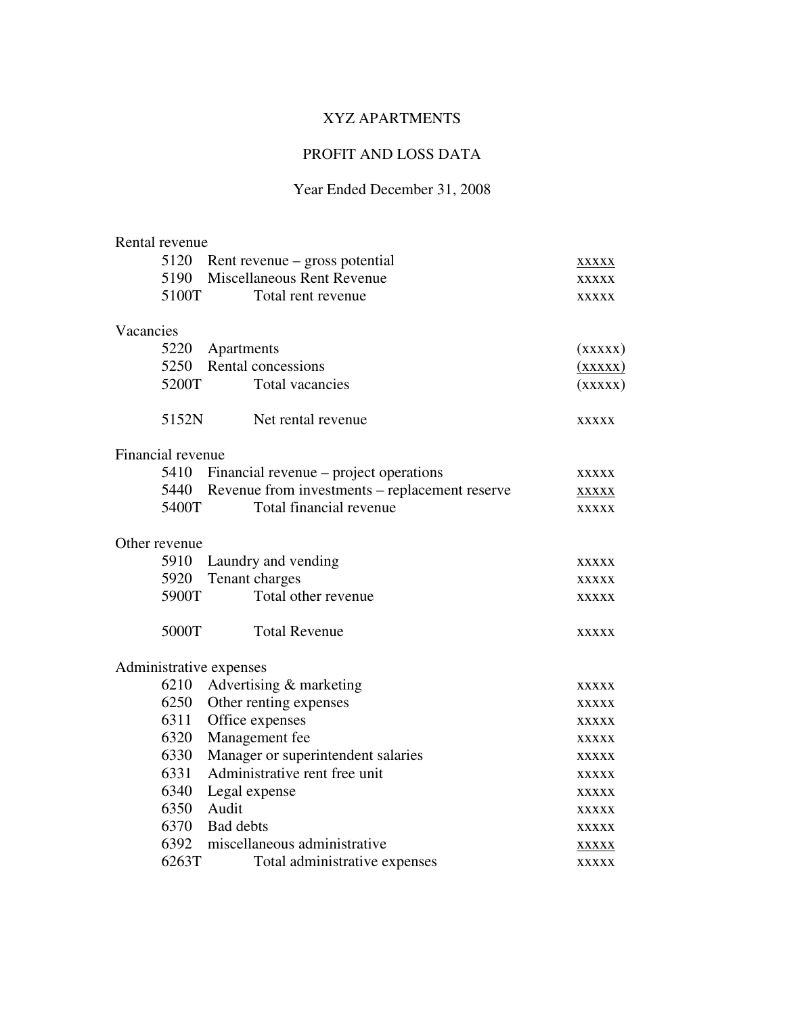### PROFIT AND LOSS DATA

|           | Rental revenue    |                                                     |              |
|-----------|-------------------|-----------------------------------------------------|--------------|
|           | 5120              | Rent revenue – gross potential                      | <b>XXXXX</b> |
|           | 5190              | <b>Miscellaneous Rent Revenue</b>                   | <b>XXXXX</b> |
|           | 5100T             | Total rent revenue                                  | <b>XXXXX</b> |
| Vacancies |                   |                                                     |              |
|           | 5220              | Apartments                                          | (xxxxx)      |
|           | 5250              | Rental concessions                                  | (xxxxx)      |
|           | 5200T             | Total vacancies                                     | (xxxxx)      |
|           | 5152N             | Net rental revenue                                  | <b>XXXXX</b> |
|           | Financial revenue |                                                     |              |
|           |                   | 5410 Financial revenue – project operations         | <b>XXXXX</b> |
|           |                   | 5440 Revenue from investments – replacement reserve | <b>XXXXX</b> |
|           | 5400T             | Total financial revenue                             | <b>XXXXX</b> |
|           | Other revenue     |                                                     |              |
|           | 5910              | Laundry and vending                                 | <b>XXXXX</b> |
|           | 5920              | Tenant charges                                      | <b>XXXXX</b> |
|           | 5900T             | Total other revenue                                 | <b>XXXXX</b> |
|           | 5000T             | <b>Total Revenue</b>                                | <b>XXXXX</b> |
|           |                   | Administrative expenses                             |              |
|           | 6210              | Advertising & marketing                             | <b>XXXXX</b> |
|           | 6250              | Other renting expenses                              | <b>XXXXX</b> |
|           | 6311              | Office expenses                                     | <b>XXXXX</b> |
|           | 6320              | Management fee                                      | <b>XXXXX</b> |
|           | 6330              | Manager or superintendent salaries                  | <b>XXXXX</b> |
|           | 6331              | Administrative rent free unit                       | <b>XXXXX</b> |
|           | 6340              | Legal expense                                       | <b>XXXXX</b> |
|           | 6350              | Audit                                               | <b>XXXXX</b> |
|           | 6370              | <b>Bad</b> debts                                    | <b>XXXXX</b> |
|           | 6392              | miscellaneous administrative                        | <b>XXXXX</b> |
|           | 6263T             | Total administrative expenses                       | <b>XXXXX</b> |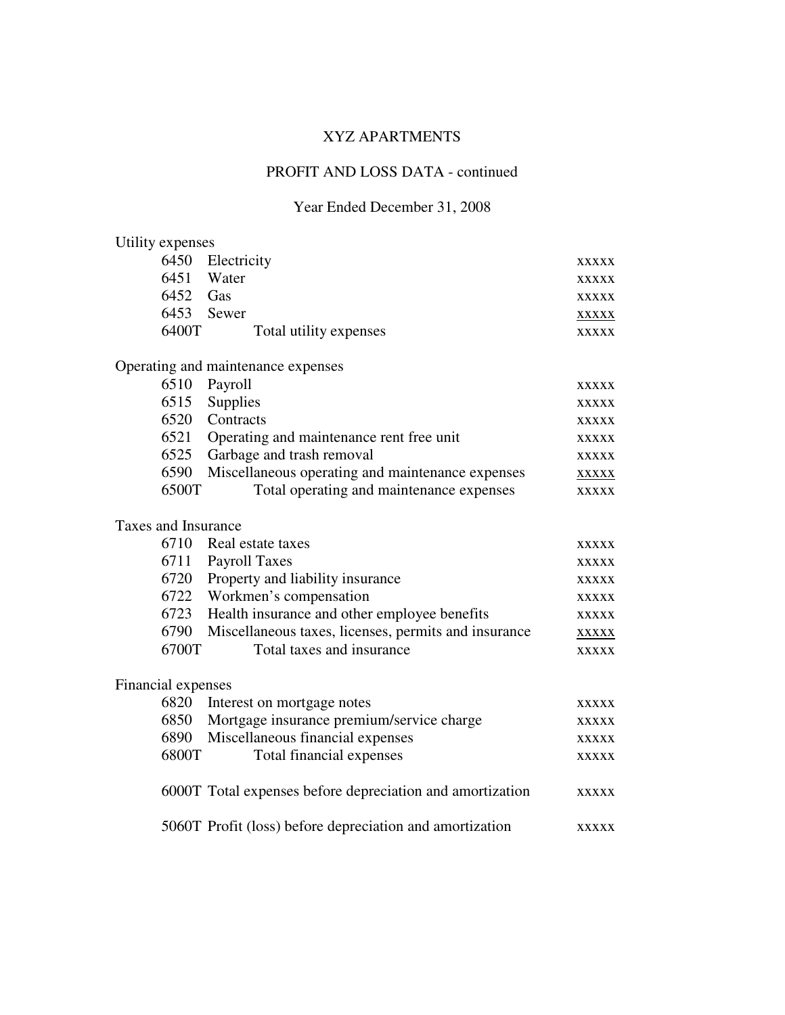# PROFIT AND LOSS DATA - continued

| Utility expenses    |                                                           |              |  |  |
|---------------------|-----------------------------------------------------------|--------------|--|--|
| 6450<br>Electricity |                                                           |              |  |  |
|                     | 6451 Water                                                | <b>XXXXX</b> |  |  |
| 6452 Gas            |                                                           | <b>XXXXX</b> |  |  |
| 6453                | Sewer                                                     | <b>XXXXX</b> |  |  |
| 6400T               | Total utility expenses                                    | <b>XXXXX</b> |  |  |
|                     | Operating and maintenance expenses                        |              |  |  |
| 6510                | Payroll                                                   | <b>XXXXX</b> |  |  |
| 6515                | Supplies                                                  | <b>XXXXX</b> |  |  |
| 6520                | Contracts                                                 | <b>XXXXX</b> |  |  |
| 6521                | Operating and maintenance rent free unit                  | <b>XXXXX</b> |  |  |
| 6525                | Garbage and trash removal                                 | <b>XXXXX</b> |  |  |
| 6590                | Miscellaneous operating and maintenance expenses          | <b>XXXXX</b> |  |  |
| 6500T               | Total operating and maintenance expenses                  | <b>XXXXX</b> |  |  |
| Taxes and Insurance |                                                           |              |  |  |
| 6710                | Real estate taxes                                         | <b>XXXXX</b> |  |  |
| 6711                | Payroll Taxes                                             | <b>XXXXX</b> |  |  |
| 6720                | Property and liability insurance                          | <b>XXXXX</b> |  |  |
| 6722                | Workmen's compensation                                    | <b>XXXXX</b> |  |  |
| 6723                | Health insurance and other employee benefits              | <b>XXXXX</b> |  |  |
| 6790                | Miscellaneous taxes, licenses, permits and insurance      | <b>XXXXX</b> |  |  |
| 6700T               | Total taxes and insurance                                 | <b>XXXXX</b> |  |  |
| Financial expenses  |                                                           |              |  |  |
| 6820                | Interest on mortgage notes                                | <b>XXXXX</b> |  |  |
| 6850                | Mortgage insurance premium/service charge                 | <b>XXXXX</b> |  |  |
| 6890                | Miscellaneous financial expenses                          | <b>XXXXX</b> |  |  |
| 6800T               | Total financial expenses                                  | <b>XXXXX</b> |  |  |
|                     | 6000T Total expenses before depreciation and amortization | <b>XXXXX</b> |  |  |
|                     | 5060T Profit (loss) before depreciation and amortization  | <b>XXXXX</b> |  |  |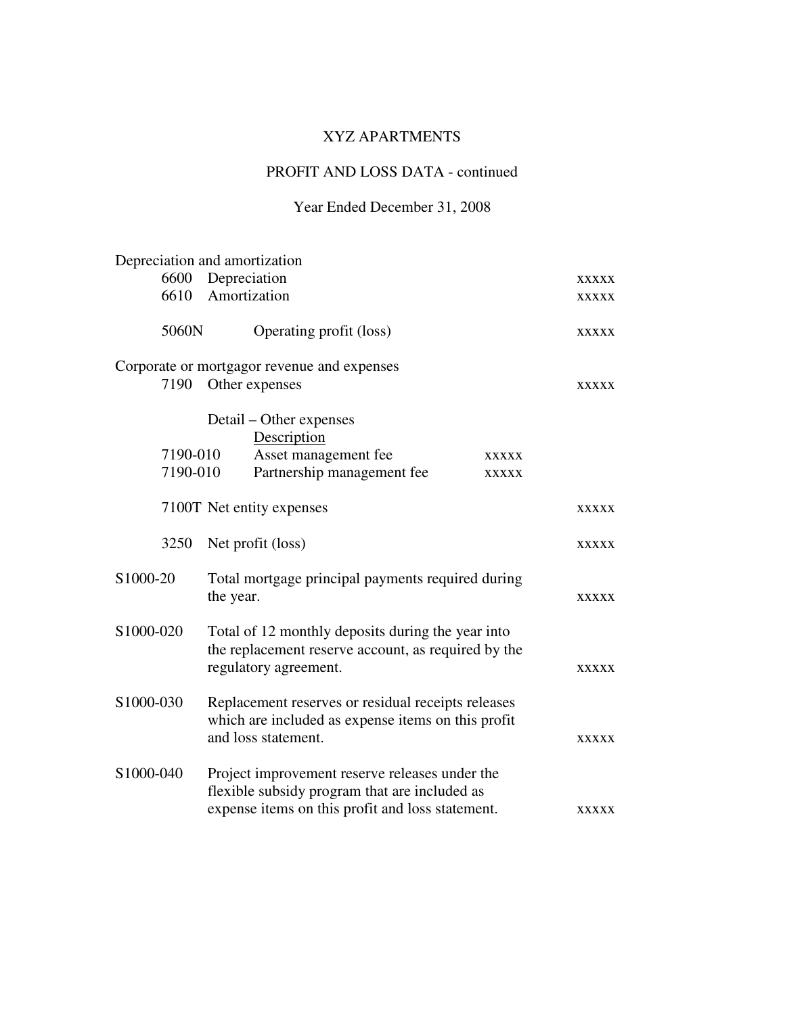# PROFIT AND LOSS DATA - continued

|                                                                                                                                                |          |                                                                                                                                 | Depreciation and amortization                                                                                                                       |              |              |
|------------------------------------------------------------------------------------------------------------------------------------------------|----------|---------------------------------------------------------------------------------------------------------------------------------|-----------------------------------------------------------------------------------------------------------------------------------------------------|--------------|--------------|
|                                                                                                                                                | 6600     | Depreciation                                                                                                                    |                                                                                                                                                     |              | <b>XXXXX</b> |
|                                                                                                                                                | 6610     | Amortization                                                                                                                    |                                                                                                                                                     |              | <b>XXXXX</b> |
|                                                                                                                                                | 5060N    |                                                                                                                                 | Operating profit (loss)                                                                                                                             |              | <b>XXXXX</b> |
|                                                                                                                                                |          |                                                                                                                                 | Corporate or mortgagor revenue and expenses                                                                                                         |              |              |
|                                                                                                                                                | 7190     |                                                                                                                                 | Other expenses                                                                                                                                      |              | <b>XXXXX</b> |
|                                                                                                                                                |          |                                                                                                                                 | Detail – Other expenses<br>Description                                                                                                              |              |              |
|                                                                                                                                                | 7190-010 |                                                                                                                                 | Asset management fee                                                                                                                                | <b>XXXXX</b> |              |
|                                                                                                                                                | 7190-010 |                                                                                                                                 | Partnership management fee                                                                                                                          | <b>XXXXX</b> |              |
|                                                                                                                                                |          |                                                                                                                                 | 7100T Net entity expenses                                                                                                                           |              | <b>XXXXX</b> |
|                                                                                                                                                | 3250     |                                                                                                                                 | Net profit (loss)                                                                                                                                   |              | <b>XXXXX</b> |
| S1000-20<br>Total mortgage principal payments required during<br>the year.                                                                     |          |                                                                                                                                 | <b>XXXXX</b>                                                                                                                                        |              |              |
| S1000-020<br>Total of 12 monthly deposits during the year into<br>the replacement reserve account, as required by the<br>regulatory agreement. |          |                                                                                                                                 | <b>XXXXX</b>                                                                                                                                        |              |              |
| S1000-030                                                                                                                                      |          | Replacement reserves or residual receipts releases<br>which are included as expense items on this profit<br>and loss statement. |                                                                                                                                                     | <b>XXXXX</b> |              |
| S1000-040                                                                                                                                      |          |                                                                                                                                 | Project improvement reserve releases under the<br>flexible subsidy program that are included as<br>expense items on this profit and loss statement. |              | <b>XXXXX</b> |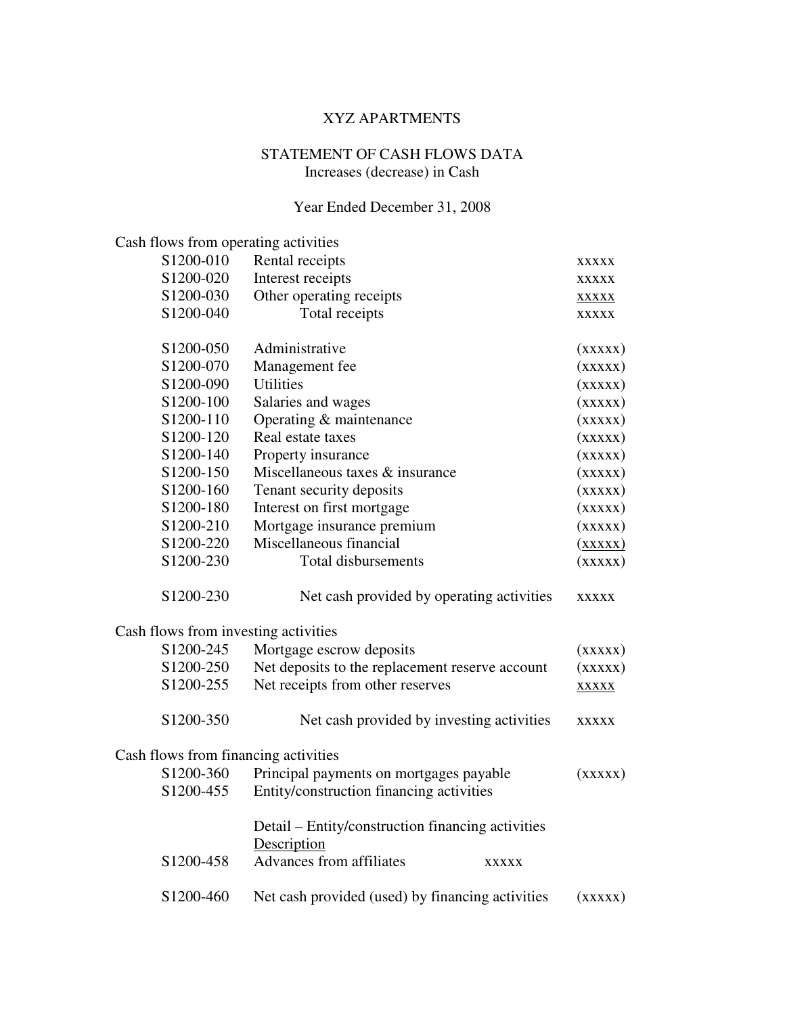#### STATEMENT OF CASH FLOWS DATA Increases (decrease) in Cash

| Cash flows from operating activities |                                                                  |                           |
|--------------------------------------|------------------------------------------------------------------|---------------------------|
| S1200-010                            | Rental receipts                                                  | <b>XXXXX</b>              |
| S1200-020                            | Interest receipts                                                | <b>XXXXX</b>              |
| S1200-030                            | Other operating receipts                                         | <b>XXXXX</b>              |
| S1200-040                            | Total receipts                                                   | <b>XXXXX</b>              |
| S <sub>1200</sub> -050               | Administrative                                                   | (xxxxx)                   |
| S1200-070                            | Management fee                                                   | (xxxxx)                   |
| S1200-090                            | <b>Utilities</b>                                                 | (xxxxx)                   |
| S1200-100                            | Salaries and wages                                               | (xxxxx)                   |
| S1200-110                            | Operating & maintenance                                          | (xxxxx)                   |
| S1200-120                            | Real estate taxes                                                | (xxxxx)                   |
| S1200-140                            | Property insurance                                               | (xxxxx)                   |
| S1200-150                            | Miscellaneous taxes & insurance                                  | (xxxxx)                   |
| S1200-160                            | Tenant security deposits                                         | (xxxxx)                   |
| S1200-180                            | Interest on first mortgage                                       | (xxxxx)                   |
| S1200-210                            | Mortgage insurance premium                                       | (xxxxx)                   |
| S1200-220                            | Miscellaneous financial                                          | $(\overline{\text{XXX}})$ |
| S1200-230                            | <b>Total disbursements</b>                                       | (xxxxx)                   |
| S1200-230                            | Net cash provided by operating activities                        | <b>XXXXX</b>              |
| Cash flows from investing activities |                                                                  |                           |
| S1200-245                            | Mortgage escrow deposits                                         | (xxxxx)                   |
| S1200-250                            | Net deposits to the replacement reserve account                  | (xxxxx)                   |
| S1200-255                            | Net receipts from other reserves                                 | <b>XXXXX</b>              |
| S1200-350                            | Net cash provided by investing activities                        | <b>XXXXX</b>              |
| Cash flows from financing activities |                                                                  |                           |
| S1200-360                            | Principal payments on mortgages payable                          | (xxxxx)                   |
| S1200-455                            | Entity/construction financing activities                         |                           |
|                                      | Detail - Entity/construction financing activities<br>Description |                           |
| S1200-458                            | <b>Advances from affiliates</b><br><b>XXXXX</b>                  |                           |
| S1200-460                            | Net cash provided (used) by financing activities                 | (xxxxx)                   |